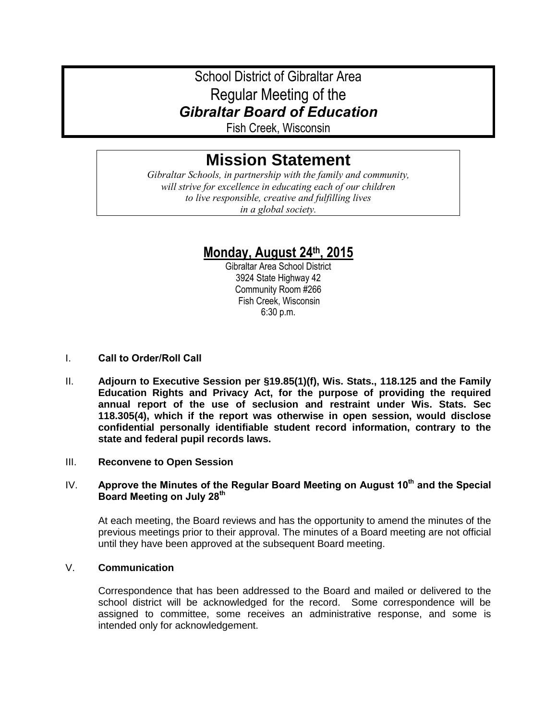# School District of Gibraltar Area Regular Meeting of the *Gibraltar Board of Education*

Fish Creek, Wisconsin

# **Mission Statement**

*Gibraltar Schools, in partnership with the family and community, will strive for excellence in educating each of our children to live responsible, creative and fulfilling lives in a global society.*

# **Monday, August 24th, 2015**

Gibraltar Area School District 3924 State Highway 42 Community Room #266 Fish Creek, Wisconsin 6:30 p.m.

- I. **Call to Order/Roll Call**
- II. **Adjourn to Executive Session per §19.85(1)(f), Wis. Stats., 118.125 and the Family Education Rights and Privacy Act, for the purpose of providing the required annual report of the use of seclusion and restraint under Wis. Stats. Sec 118.305(4), which if the report was otherwise in open session, would disclose confidential personally identifiable student record information, contrary to the state and federal pupil records laws.**

# III. **Reconvene to Open Session**

### IV. **Approve the Minutes of the Regular Board Meeting on August 10th and the Special Board Meeting on July 28th**

At each meeting, the Board reviews and has the opportunity to amend the minutes of the previous meetings prior to their approval. The minutes of a Board meeting are not official until they have been approved at the subsequent Board meeting.

### V. **Communication**

Correspondence that has been addressed to the Board and mailed or delivered to the school district will be acknowledged for the record. Some correspondence will be assigned to committee, some receives an administrative response, and some is intended only for acknowledgement.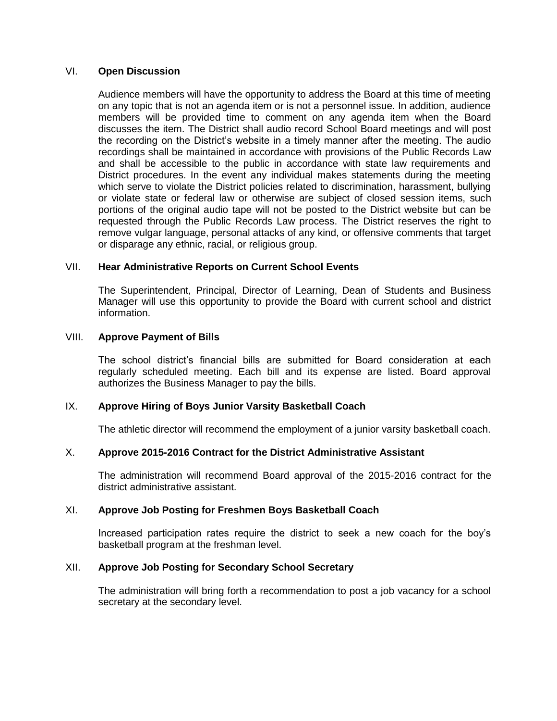### VI. **Open Discussion**

Audience members will have the opportunity to address the Board at this time of meeting on any topic that is not an agenda item or is not a personnel issue. In addition, audience members will be provided time to comment on any agenda item when the Board discusses the item. The District shall audio record School Board meetings and will post the recording on the District's website in a timely manner after the meeting. The audio recordings shall be maintained in accordance with provisions of the Public Records Law and shall be accessible to the public in accordance with state law requirements and District procedures. In the event any individual makes statements during the meeting which serve to violate the District policies related to discrimination, harassment, bullying or violate state or federal law or otherwise are subject of closed session items, such portions of the original audio tape will not be posted to the District website but can be requested through the Public Records Law process. The District reserves the right to remove vulgar language, personal attacks of any kind, or offensive comments that target or disparage any ethnic, racial, or religious group.

### VII. **Hear Administrative Reports on Current School Events**

The Superintendent, Principal, Director of Learning, Dean of Students and Business Manager will use this opportunity to provide the Board with current school and district information.

### VIII. **Approve Payment of Bills**

The school district's financial bills are submitted for Board consideration at each regularly scheduled meeting. Each bill and its expense are listed. Board approval authorizes the Business Manager to pay the bills.

# IX. **Approve Hiring of Boys Junior Varsity Basketball Coach**

The athletic director will recommend the employment of a junior varsity basketball coach.

# X. **Approve 2015-2016 Contract for the District Administrative Assistant**

The administration will recommend Board approval of the 2015-2016 contract for the district administrative assistant.

#### XI. **Approve Job Posting for Freshmen Boys Basketball Coach**

Increased participation rates require the district to seek a new coach for the boy's basketball program at the freshman level.

#### XII. **Approve Job Posting for Secondary School Secretary**

The administration will bring forth a recommendation to post a job vacancy for a school secretary at the secondary level.